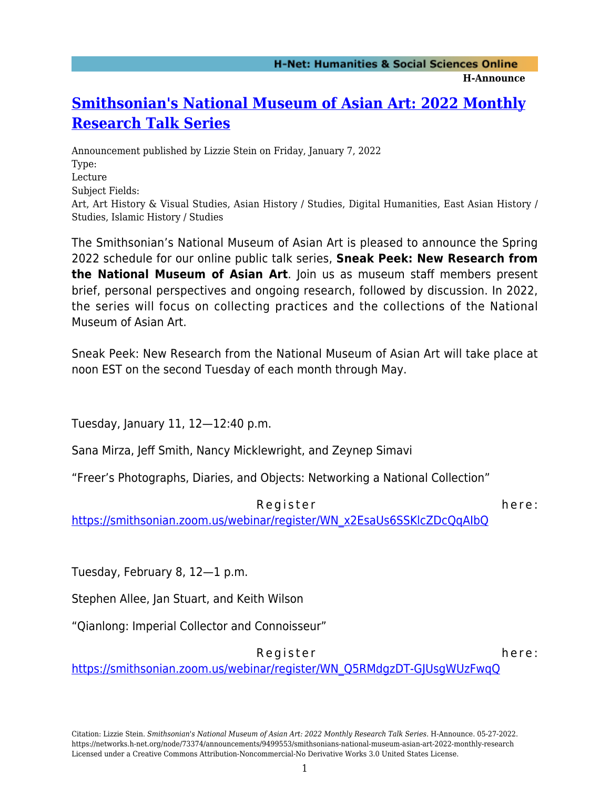**H-Announce** 

## **[Smithsonian's National Museum of Asian Art: 2022 Monthly](https://networks.h-net.org/node/73374/announcements/9499553/smithsonians-national-museum-asian-art-2022-monthly-research) [Research Talk Series](https://networks.h-net.org/node/73374/announcements/9499553/smithsonians-national-museum-asian-art-2022-monthly-research)**

Announcement published by Lizzie Stein on Friday, January 7, 2022 Type: Lecture Subject Fields: Art, Art History & Visual Studies, Asian History / Studies, Digital Humanities, East Asian History / Studies, Islamic History / Studies

The Smithsonian's National Museum of Asian Art is pleased to announce the Spring 2022 schedule for our online public talk series, **Sneak Peek: New Research from the National Museum of Asian Art**. Join us as museum staff members present brief, personal perspectives and ongoing research, followed by discussion. In 2022, the series will focus on collecting practices and the collections of the National Museum of Asian Art.

Sneak Peek: New Research from the National Museum of Asian Art will take place at noon EST on the second Tuesday of each month through May.

Tuesday, January 11, 12—12:40 p.m.

Sana Mirza, Jeff Smith, Nancy Micklewright, and Zeynep Simavi

"Freer's Photographs, Diaries, and Objects: Networking a National Collection"

Register here:

[https://smithsonian.zoom.us/webinar/register/WN\\_x2EsaUs6SSKlcZDcQqAIbQ](https://smithsonian.zoom.us/webinar/register/WN_x2EsaUs6SSKlcZDcQqAIbQ)

Tuesday, February 8, 12—1 p.m.

Stephen Allee, Jan Stuart, and Keith Wilson

"Qianlong: Imperial Collector and Connoisseur"

Register here:

[https://smithsonian.zoom.us/webinar/register/WN\\_Q5RMdgzDT-GJUsgWUzFwqQ](https://smithsonian.zoom.us/webinar/register/WN_Q5RMdgzDT-GJUsgWUzFwqQ)

Citation: Lizzie Stein. *Smithsonian's National Museum of Asian Art: 2022 Monthly Research Talk Series*. H-Announce. 05-27-2022. https://networks.h-net.org/node/73374/announcements/9499553/smithsonians-national-museum-asian-art-2022-monthly-research Licensed under a Creative Commons Attribution-Noncommercial-No Derivative Works 3.0 United States License.